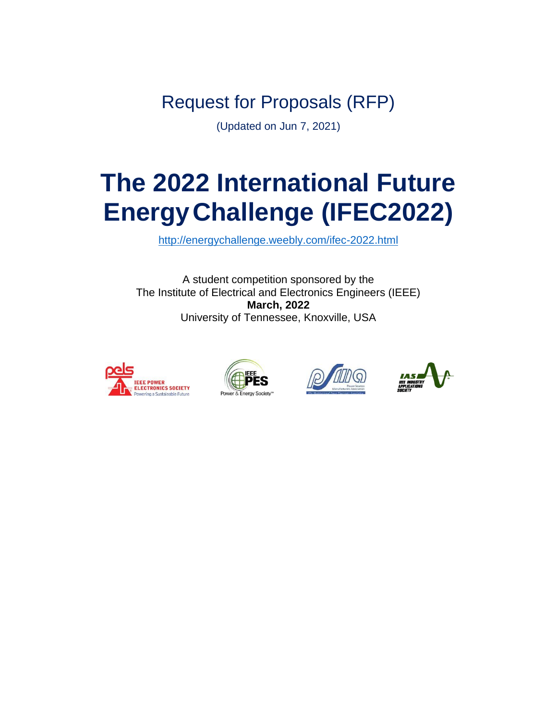Request for Proposals (RFP)

(Updated on Jun 7, 2021)

# **The 2022 International Future EnergyChallenge (IFEC2022)**

<http://energychallenge.weebly.com/ifec-2022.html>

A student competition sponsored by the The Institute of Electrical and Electronics Engineers (IEEE) **March, 2022** University of Tennessee, Knoxville, USA







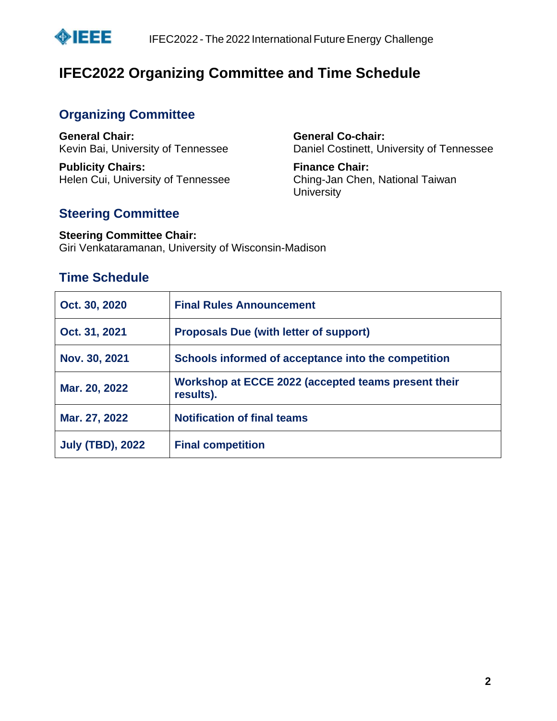

# **IFEC2022 Organizing Committee and Time Schedule**

# **Organizing Committee**

**General Chair:** Kevin Bai, University of Tennessee

**Publicity Chairs:** Helen Cui, University of Tennessee

#### **General Co-chair:** Daniel Costinett, University of Tennessee

**Finance Chair:** Ching-Jan Chen, National Taiwan **University** 

# **Steering Committee**

#### **Steering Committee Chair:** Giri Venkataramanan, University of Wisconsin-Madison

# **Time Schedule**

| Oct. 30, 2020           | <b>Final Rules Announcement</b>                                  |  |
|-------------------------|------------------------------------------------------------------|--|
| Oct. 31, 2021           | <b>Proposals Due (with letter of support)</b>                    |  |
| Nov. 30, 2021           | Schools informed of acceptance into the competition              |  |
| Mar. 20, 2022           | Workshop at ECCE 2022 (accepted teams present their<br>results). |  |
| Mar. 27, 2022           | <b>Notification of final teams</b>                               |  |
| <b>July (TBD), 2022</b> | <b>Final competition</b>                                         |  |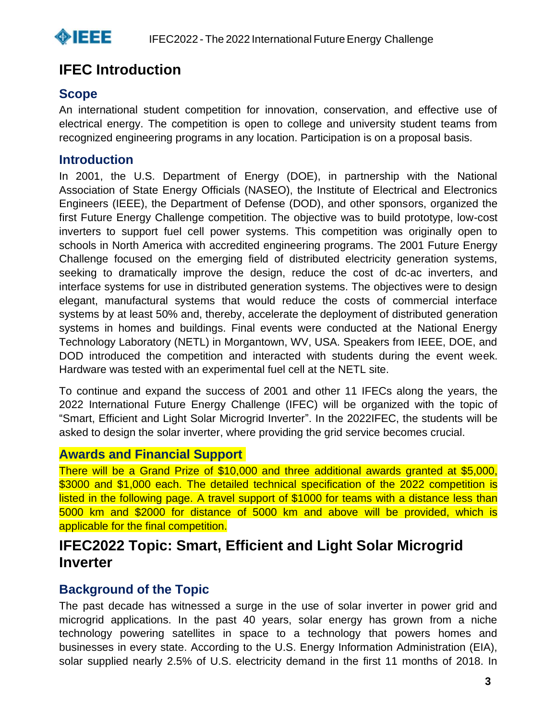

# **IFEC Introduction**

# **Scope**

An international student competition for innovation, conservation, and effective use of electrical energy. The competition is open to college and university student teams from recognized engineering programs in any location. Participation is on a proposal basis.

# **Introduction**

In 2001, the U.S. Department of Energy (DOE), in partnership with the National Association of State Energy Officials (NASEO), the Institute of Electrical and Electronics Engineers (IEEE), the Department of Defense (DOD), and other sponsors, organized the first Future Energy Challenge competition. The objective was to build prototype, low-cost inverters to support fuel cell power systems. This competition was originally open to schools in North America with accredited engineering programs. The 2001 Future Energy Challenge focused on the emerging field of distributed electricity generation systems, seeking to dramatically improve the design, reduce the cost of dc-ac inverters, and interface systems for use in distributed generation systems. The objectives were to design elegant, manufactural systems that would reduce the costs of commercial interface systems by at least 50% and, thereby, accelerate the deployment of distributed generation systems in homes and buildings. Final events were conducted at the National Energy Technology Laboratory (NETL) in Morgantown, WV, USA. Speakers from IEEE, DOE, and DOD introduced the competition and interacted with students during the event week. Hardware was tested with an experimental fuel cell at the NETL site.

To continue and expand the success of 2001 and other 11 IFECs along the years, the 2022 International Future Energy Challenge (IFEC) will be organized with the topic of "Smart, Efficient and Light Solar Microgrid Inverter". In the 2022IFEC, the students will be asked to design the solar inverter, where providing the grid service becomes crucial.

# **Awards and Financial Support**

There will be a Grand Prize of \$10,000 and three additional awards granted at \$5,000, \$3000 and \$1,000 each. The detailed technical specification of the 2022 competition is listed in the following page. A travel support of \$1000 for teams with a distance less than 5000 km and \$2000 for distance of 5000 km and above will be provided, which is applicable for the final competition.

# **IFEC2022 Topic: Smart, Efficient and Light Solar Microgrid Inverter**

# **Background of the Topic**

The past decade has witnessed a surge in the use of solar inverter in power grid and microgrid applications. In the past 40 years, solar energy has grown from a niche technology powering satellites in space to a technology that powers homes and businesses in every state. According to the U.S. Energy Information Administration (EIA), solar supplied nearly 2.5% of U.S. electricity demand in the first 11 months of 2018. In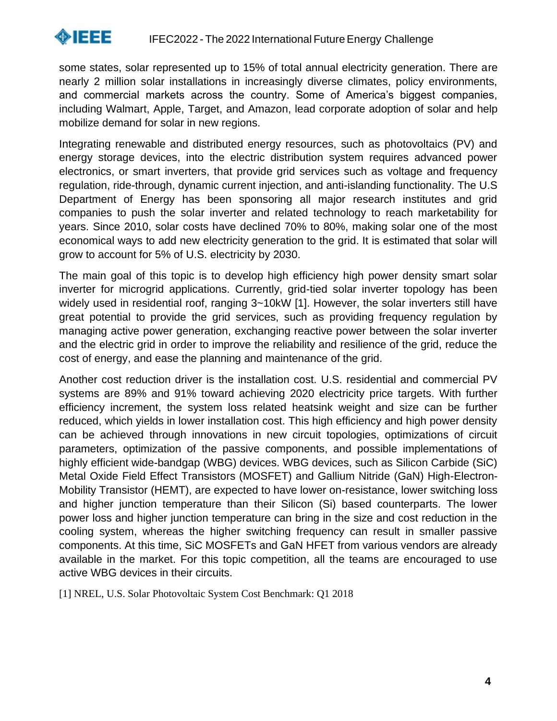

some states, solar represented up to 15% of total annual electricity generation. There are nearly 2 million solar installations in increasingly diverse climates, policy environments, and commercial markets across the country. Some of America's biggest companies, including Walmart, Apple, Target, and Amazon, lead corporate adoption of solar and help mobilize demand for solar in new regions.

Integrating renewable and distributed energy resources, such as photovoltaics (PV) and energy storage devices, into the electric distribution system requires advanced power electronics, or smart inverters, that provide grid services such as voltage and frequency regulation, ride-through, dynamic current injection, and anti-islanding functionality. The U.S Department of Energy has been sponsoring all major research institutes and grid companies to push the solar inverter and related technology to reach marketability for years. Since 2010, solar costs have declined 70% to 80%, making solar one of the most economical ways to add new electricity generation to the grid. It is estimated that solar will grow to account for 5% of U.S. electricity by 2030.

The main goal of this topic is to develop high efficiency high power density smart solar inverter for microgrid applications. Currently, grid-tied solar inverter topology has been widely used in residential roof, ranging 3~10kW [1]. However, the solar inverters still have great potential to provide the grid services, such as providing frequency regulation by managing active power generation, exchanging reactive power between the solar inverter and the electric grid in order to improve the reliability and resilience of the grid, reduce the cost of energy, and ease the planning and maintenance of the grid.

Another cost reduction driver is the installation cost. U.S. residential and commercial PV systems are 89% and 91% toward achieving 2020 electricity price targets. With further efficiency increment, the system loss related heatsink weight and size can be further reduced, which yields in lower installation cost. This high efficiency and high power density can be achieved through innovations in new circuit topologies, optimizations of circuit parameters, optimization of the passive components, and possible implementations of highly efficient wide-bandgap (WBG) devices. WBG devices, such as Silicon Carbide (SiC) Metal Oxide Field Effect Transistors (MOSFET) and Gallium Nitride (GaN) High-Electron-Mobility Transistor (HEMT), are expected to have lower on-resistance, lower switching loss and higher junction temperature than their Silicon (Si) based counterparts. The lower power loss and higher junction temperature can bring in the size and cost reduction in the cooling system, whereas the higher switching frequency can result in smaller passive components. At this time, SiC MOSFETs and GaN HFET from various vendors are already available in the market. For this topic competition, all the teams are encouraged to use active WBG devices in their circuits.

[1] NREL, U.S. Solar Photovoltaic System Cost Benchmark: Q1 2018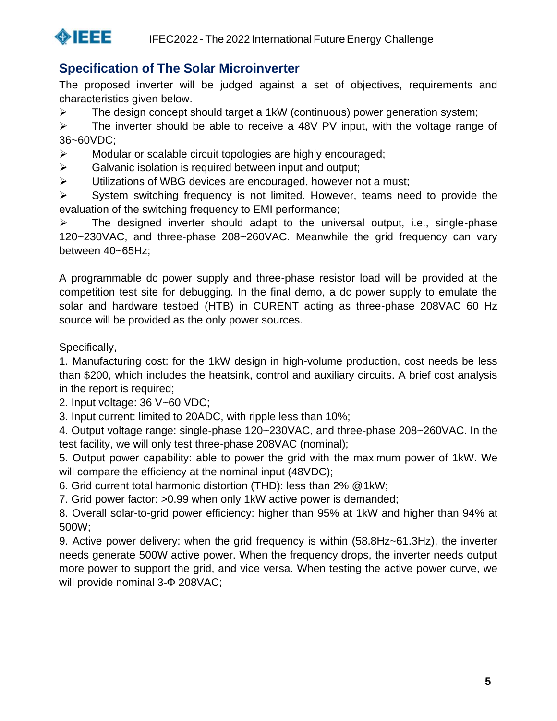

# **Specification of The Solar Microinverter**

The proposed inverter will be judged against a set of objectives, requirements and characteristics given below.

 $\triangleright$  The design concept should target a 1kW (continuous) power generation system;

➢ The inverter should be able to receive a 48V PV input, with the voltage range of 36~60VDC;

➢ Modular or scalable circuit topologies are highly encouraged;

- $\triangleright$  Galvanic isolation is required between input and output;
- ➢ Utilizations of WBG devices are encouraged, however not a must;

➢ System switching frequency is not limited. However, teams need to provide the evaluation of the switching frequency to EMI performance;

 $\triangleright$  The designed inverter should adapt to the universal output, i.e., single-phase 120~230VAC, and three-phase 208~260VAC. Meanwhile the grid frequency can vary between 40~65Hz;

A programmable dc power supply and three-phase resistor load will be provided at the competition test site for debugging. In the final demo, a dc power supply to emulate the solar and hardware testbed (HTB) in CURENT acting as three-phase 208VAC 60 Hz source will be provided as the only power sources.

Specifically,

1. Manufacturing cost: for the 1kW design in high-volume production, cost needs be less than \$200, which includes the heatsink, control and auxiliary circuits. A brief cost analysis in the report is required;

2. Input voltage: 36 V~60 VDC;

3. Input current: limited to 20ADC, with ripple less than 10%;

4. Output voltage range: single-phase 120~230VAC, and three-phase 208~260VAC. In the test facility, we will only test three-phase 208VAC (nominal);

5. Output power capability: able to power the grid with the maximum power of 1kW. We will compare the efficiency at the nominal input (48VDC);

6. Grid current total harmonic distortion (THD): less than 2% @1kW;

7. Grid power factor: >0.99 when only 1kW active power is demanded;

8. Overall solar-to-grid power efficiency: higher than 95% at 1kW and higher than 94% at 500W;

9. Active power delivery: when the grid frequency is within (58.8Hz~61.3Hz), the inverter needs generate 500W active power. When the frequency drops, the inverter needs output more power to support the grid, and vice versa. When testing the active power curve, we will provide nominal 3-Ф 208VAC;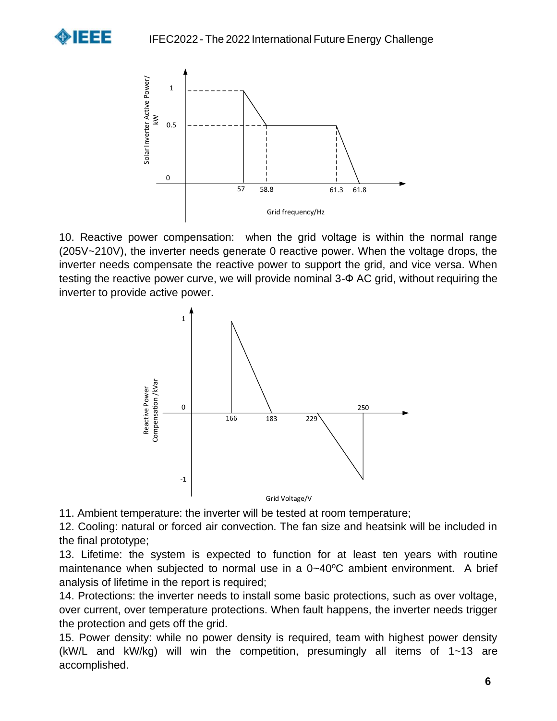



10. Reactive power compensation: when the grid voltage is within the normal range (205V~210V), the inverter needs generate 0 reactive power. When the voltage drops, the inverter needs compensate the reactive power to support the grid, and vice versa. When testing the reactive power curve, we will provide nominal 3-Ф AC grid, without requiring the inverter to provide active power.



11. Ambient temperature: the inverter will be tested at room temperature;

12. Cooling: natural or forced air convection. The fan size and heatsink will be included in the final prototype;

13. Lifetime: the system is expected to function for at least ten years with routine maintenance when subjected to normal use in a  $0-40^{\circ}$ C ambient environment. A brief analysis of lifetime in the report is required;

14. Protections: the inverter needs to install some basic protections, such as over voltage, over current, over temperature protections. When fault happens, the inverter needs trigger the protection and gets off the grid.

15. Power density: while no power density is required, team with highest power density (kW/L and kW/kg) will win the competition, presumingly all items of 1~13 are accomplished.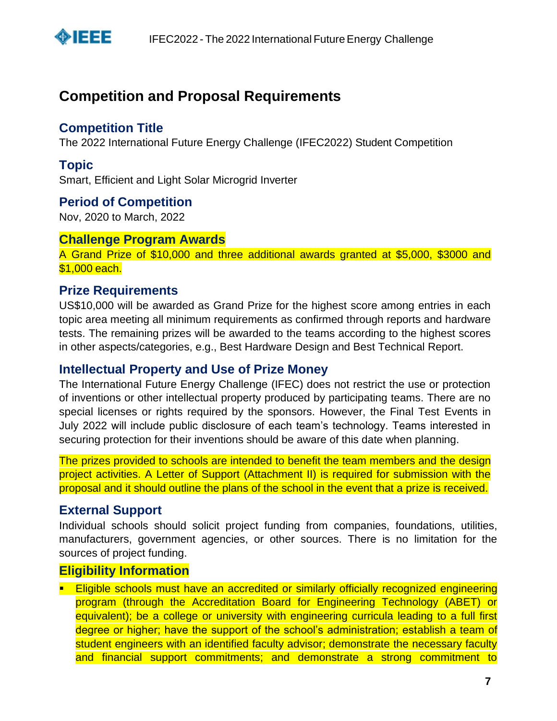

# **Competition and Proposal Requirements**

## **Competition Title**

The 2022 International Future Energy Challenge (IFEC2022) Student Competition

## **Topic**

Smart, Efficient and Light Solar Microgrid Inverter

#### **Period of Competition**

Nov, 2020 to March, 2022

#### **Challenge Program Awards**

A Grand Prize of \$10,000 and three additional awards granted at \$5,000, \$3000 and \$1,000 each.

#### **Prize Requirements**

US\$10,000 will be awarded as Grand Prize for the highest score among entries in each topic area meeting all minimum requirements as confirmed through reports and hardware tests. The remaining prizes will be awarded to the teams according to the highest scores in other aspects/categories, e.g., Best Hardware Design and Best Technical Report.

#### **Intellectual Property and Use of Prize Money**

The International Future Energy Challenge (IFEC) does not restrict the use or protection of inventions or other intellectual property produced by participating teams. There are no special licenses or rights required by the sponsors. However, the Final Test Events in July 2022 will include public disclosure of each team's technology. Teams interested in securing protection for their inventions should be aware of this date when planning.

The prizes provided to schools are intended to benefit the team members and the design project activities. A Letter of Support (Attachment II) is required for submission with the proposal and it should outline the plans of the school in the event that a prize is received.

#### **External Support**

Individual schools should solicit project funding from companies, foundations, utilities, manufacturers, government agencies, or other sources. There is no limitation for the sources of project funding.

# **Eligibility Information**

**Eligible schools must have an accredited or similarly officially recognized engineering** program (through the Accreditation Board for Engineering Technology (ABET) or equivalent); be a college or university with engineering curricula leading to a full first degree or higher; have the support of the school's administration; establish a team of student engineers with an identified faculty advisor; demonstrate the necessary faculty and financial support commitments; and demonstrate a strong commitment to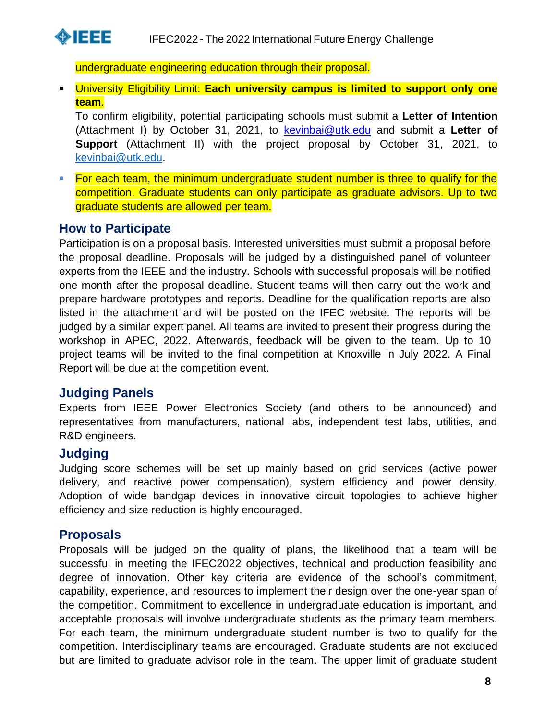

undergraduate engineering education through their proposal.

▪ University Eligibility Limit: **Each university campus is limited to support only one team**.

To confirm eligibility, potential participating schools must submit a **Letter of Intention** (Attachment I) by October 31, 2021, to kevinbai@utk.edu and submit a **Letter of Support** (Attachment II) with the project proposal by October 31, 2021, to [kevinbai@utk.edu.](mailto:kevinbai@utk.edu)

**Eor each team, the minimum undergraduate student number is three to qualify for the** competition. Graduate students can only participate as graduate advisors. Up to two graduate students are allowed per team.

#### **How to Participate**

Participation is on a proposal basis. Interested universities must submit a proposal before the proposal deadline. Proposals will be judged by a distinguished panel of volunteer experts from the IEEE and the industry. Schools with successful proposals will be notified one month after the proposal deadline. Student teams will then carry out the work and prepare hardware prototypes and reports. Deadline for the qualification reports are also listed in the attachment and will be posted on the IFEC website. The reports will be judged by a similar expert panel. All teams are invited to present their progress during the workshop in APEC, 2022. Afterwards, feedback will be given to the team. Up to 10 project teams will be invited to the final competition at Knoxville in July 2022. A Final Report will be due at the competition event.

#### **Judging Panels**

Experts from IEEE Power Electronics Society (and others to be announced) and representatives from manufacturers, national labs, independent test labs, utilities, and R&D engineers.

#### **Judging**

Judging score schemes will be set up mainly based on grid services (active power delivery, and reactive power compensation), system efficiency and power density. Adoption of wide bandgap devices in innovative circuit topologies to achieve higher efficiency and size reduction is highly encouraged.

#### **Proposals**

Proposals will be judged on the quality of plans, the likelihood that a team will be successful in meeting the IFEC2022 objectives, technical and production feasibility and degree of innovation. Other key criteria are evidence of the school's commitment, capability, experience, and resources to implement their design over the one-year span of the competition. Commitment to excellence in undergraduate education is important, and acceptable proposals will involve undergraduate students as the primary team members. For each team, the minimum undergraduate student number is two to qualify for the competition. Interdisciplinary teams are encouraged. Graduate students are not excluded but are limited to graduate advisor role in the team. The upper limit of graduate student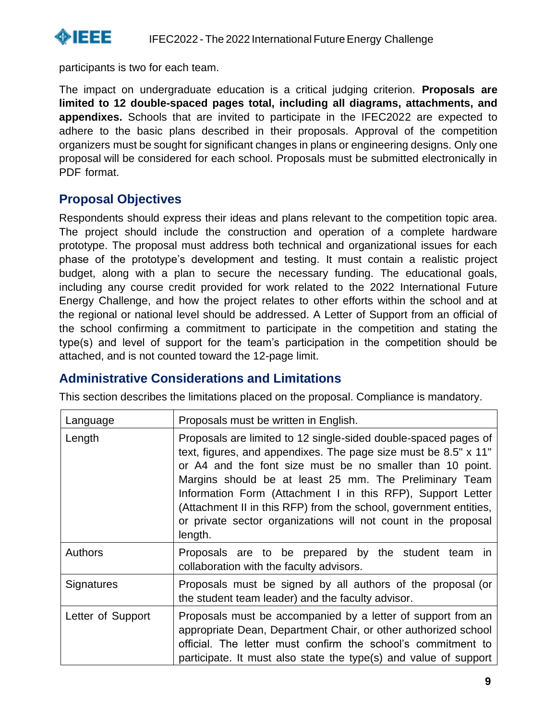

participants is two for each team.

The impact on undergraduate education is a critical judging criterion. **Proposals are limited to 12 double-spaced pages total, including all diagrams, attachments, and appendixes.** Schools that are invited to participate in the IFEC2022 are expected to adhere to the basic plans described in their proposals. Approval of the competition organizers must be sought for significant changes in plans or engineering designs. Only one proposal will be considered for each school. Proposals must be submitted electronically in PDF format.

# **Proposal Objectives**

Respondents should express their ideas and plans relevant to the competition topic area. The project should include the construction and operation of a complete hardware prototype. The proposal must address both technical and organizational issues for each phase of the prototype's development and testing. It must contain a realistic project budget, along with a plan to secure the necessary funding. The educational goals, including any course credit provided for work related to the 2022 International Future Energy Challenge, and how the project relates to other efforts within the school and at the regional or national level should be addressed. A Letter of Support from an official of the school confirming a commitment to participate in the competition and stating the type(s) and level of support for the team's participation in the competition should be attached, and is not counted toward the 12-page limit.

# **Administrative Considerations and Limitations**

This section describes the limitations placed on the proposal. Compliance is mandatory.

| Language          | Proposals must be written in English.                                                                                                                                                                                                                                                                                                                                                                                                                                      |  |
|-------------------|----------------------------------------------------------------------------------------------------------------------------------------------------------------------------------------------------------------------------------------------------------------------------------------------------------------------------------------------------------------------------------------------------------------------------------------------------------------------------|--|
| Length            | Proposals are limited to 12 single-sided double-spaced pages of<br>text, figures, and appendixes. The page size must be 8.5" x 11"<br>or A4 and the font size must be no smaller than 10 point.<br>Margins should be at least 25 mm. The Preliminary Team<br>Information Form (Attachment I in this RFP), Support Letter<br>(Attachment II in this RFP) from the school, government entities,<br>or private sector organizations will not count in the proposal<br>length. |  |
| <b>Authors</b>    | Proposals are to be prepared by the student team in<br>collaboration with the faculty advisors.                                                                                                                                                                                                                                                                                                                                                                            |  |
| Signatures        | Proposals must be signed by all authors of the proposal (or<br>the student team leader) and the faculty advisor.                                                                                                                                                                                                                                                                                                                                                           |  |
| Letter of Support | Proposals must be accompanied by a letter of support from an<br>appropriate Dean, Department Chair, or other authorized school<br>official. The letter must confirm the school's commitment to<br>participate. It must also state the type(s) and value of support                                                                                                                                                                                                         |  |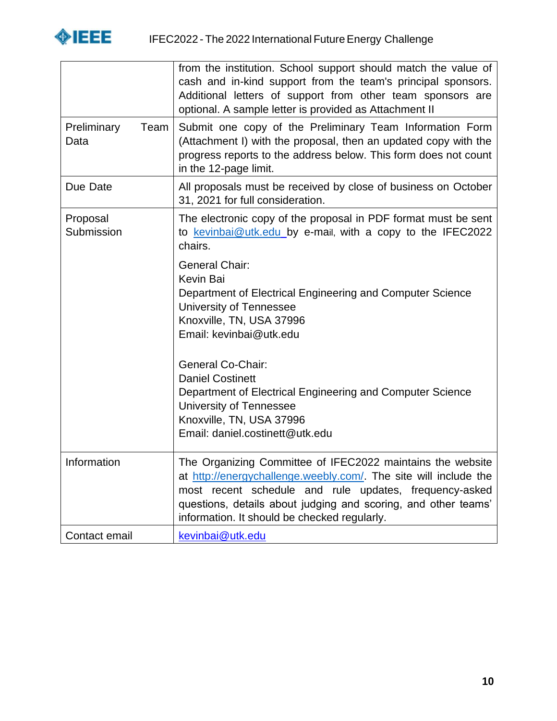

|                             | from the institution. School support should match the value of<br>cash and in-kind support from the team's principal sponsors.<br>Additional letters of support from other team sponsors are<br>optional. A sample letter is provided as Attachment II                                                     |  |
|-----------------------------|------------------------------------------------------------------------------------------------------------------------------------------------------------------------------------------------------------------------------------------------------------------------------------------------------------|--|
| Preliminary<br>Team<br>Data | Submit one copy of the Preliminary Team Information Form<br>(Attachment I) with the proposal, then an updated copy with the<br>progress reports to the address below. This form does not count<br>in the 12-page limit.                                                                                    |  |
| Due Date                    | All proposals must be received by close of business on October<br>31, 2021 for full consideration.                                                                                                                                                                                                         |  |
| Proposal<br>Submission      | The electronic copy of the proposal in PDF format must be sent<br>to kevinbai@utk.edu_by e-mail, with a copy to the IFEC2022<br>chairs.                                                                                                                                                                    |  |
|                             | <b>General Chair:</b><br>Kevin Bai<br>Department of Electrical Engineering and Computer Science<br>University of Tennessee<br>Knoxville, TN, USA 37996<br>Email: kevinbai@utk.edu                                                                                                                          |  |
|                             | <b>General Co-Chair:</b><br><b>Daniel Costinett</b><br>Department of Electrical Engineering and Computer Science<br>University of Tennessee<br>Knoxville, TN, USA 37996<br>Email: daniel.costinett@utk.edu                                                                                                 |  |
| Information                 | The Organizing Committee of IFEC2022 maintains the website<br>at http://energychallenge.weebly.com/. The site will include the<br>most recent schedule and rule updates, frequency-asked<br>questions, details about judging and scoring, and other teams'<br>information. It should be checked regularly. |  |
| Contact email               | kevinbai@utk.edu                                                                                                                                                                                                                                                                                           |  |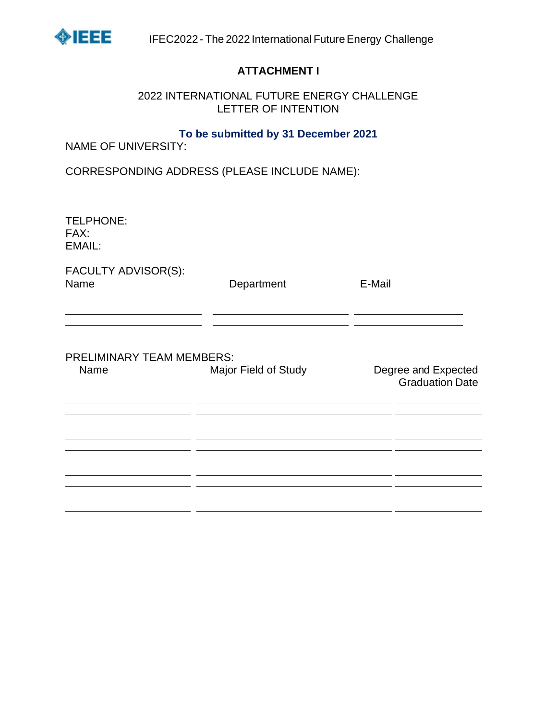

#### **ATTACHMENT I**

#### 2022 INTERNATIONAL FUTURE ENERGY CHALLENGE LETTER OF INTENTION

#### **To be submitted by 31 December 2021**

NAME OF UNIVERSITY:

CORRESPONDING ADDRESS (PLEASE INCLUDE NAME):

| <b>TELPHONE:</b><br>FAX:<br>EMAIL:       |                      |                                               |
|------------------------------------------|----------------------|-----------------------------------------------|
| FACULTY ADVISOR(S):<br>Name              | Department           | E-Mail                                        |
| <b>PRELIMINARY TEAM MEMBERS:</b><br>Name | Major Field of Study | Degree and Expected<br><b>Graduation Date</b> |
|                                          |                      |                                               |
|                                          |                      |                                               |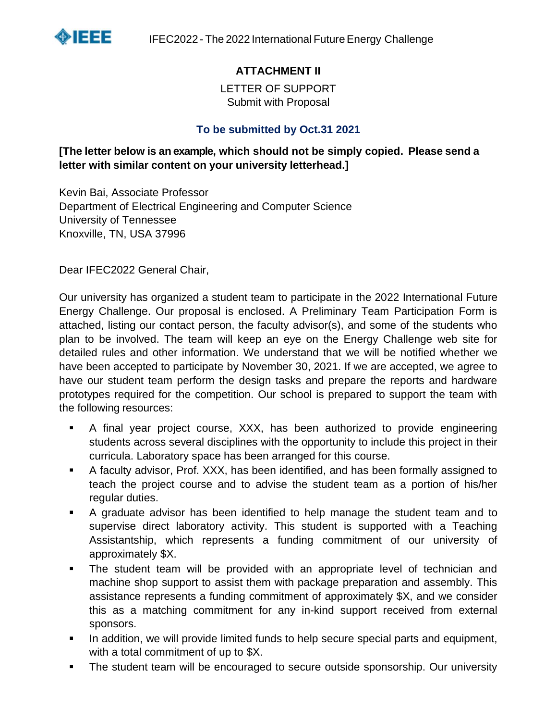

# **ATTACHMENT II**

LETTER OF SUPPORT Submit with Proposal

#### **To be submitted by Oct.31 2021**

#### **[The letter below is an example, which should not be simply copied. Please send a letter with similar content on your university letterhead.]**

Kevin Bai, Associate Professor Department of Electrical Engineering and Computer Science University of Tennessee Knoxville, TN, USA 37996

Dear IFEC2022 General Chair,

Our university has organized a student team to participate in the 2022 International Future Energy Challenge. Our proposal is enclosed. A Preliminary Team Participation Form is attached, listing our contact person, the faculty advisor(s), and some of the students who plan to be involved. The team will keep an eye on the Energy Challenge web site for detailed rules and other information. We understand that we will be notified whether we have been accepted to participate by November 30, 2021. If we are accepted, we agree to have our student team perform the design tasks and prepare the reports and hardware prototypes required for the competition. Our school is prepared to support the team with the following resources:

- A final year project course, XXX, has been authorized to provide engineering students across several disciplines with the opportunity to include this project in their curricula. Laboratory space has been arranged for this course.
- A faculty advisor, Prof. XXX, has been identified, and has been formally assigned to teach the project course and to advise the student team as a portion of his/her regular duties.
- A graduate advisor has been identified to help manage the student team and to supervise direct laboratory activity. This student is supported with a Teaching Assistantship, which represents a funding commitment of our university of approximately \$X.
- The student team will be provided with an appropriate level of technician and machine shop support to assist them with package preparation and assembly. This assistance represents a funding commitment of approximately \$X, and we consider this as a matching commitment for any in-kind support received from external sponsors.
- In addition, we will provide limited funds to help secure special parts and equipment, with a total commitment of up to \$X.
- The student team will be encouraged to secure outside sponsorship. Our university